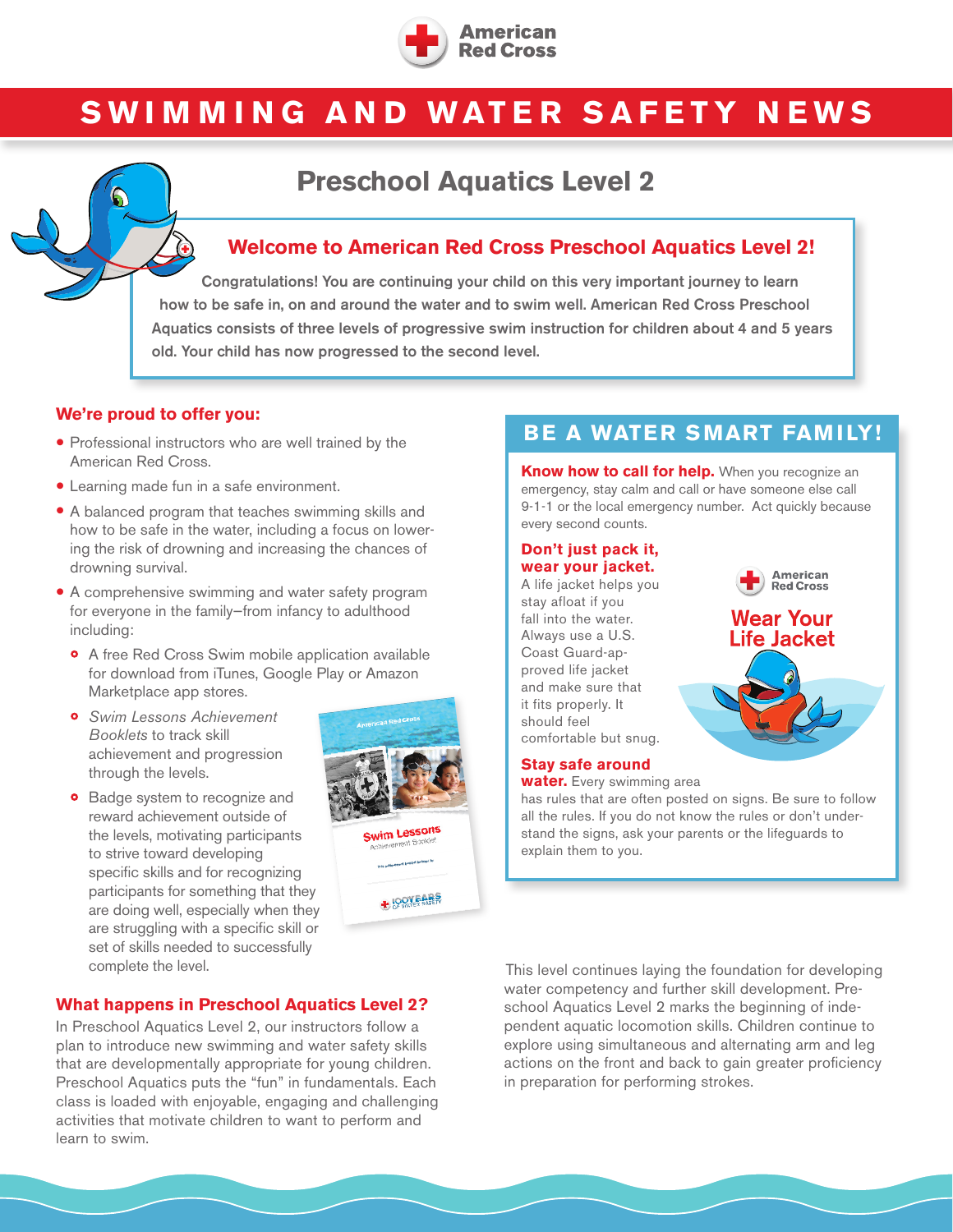

# **SWIMMING AND WATER SAFETY NEWS**

# **Preschool Aquatics Level 2**

### **Welcome to American Red Cross Preschool Aquatics Level 2!**

Congratulations! You are continuing your child on this very important journey to learn how to be safe in, on and around the water and to swim well. American Red Cross Preschool Aquatics consists of three levels of progressive swim instruction for children about 4 and 5 years old. Your child has now progressed to the second level.

#### **We're proud to offer you:**

- Professional instructors who are well trained by the American Red Cross.
- Learning made fun in a safe environment.
- A balanced program that teaches swimming skills and how to be safe in the water, including a focus on lowering the risk of drowning and increasing the chances of drowning survival.
- A comprehensive swimming and water safety program for everyone in the family—from infancy to adulthood including:
	- ◦<sup>A</sup> free Red Cross Swim mobile application available for download from iTunes, Google Play or Amazon Marketplace app stores.
	- *Swim Lessons Achievement Booklets* to track skill achievement and progression through the levels.
	- Badge system to recognize and reward achievement outside of the levels, motivating participants to strive toward developing specific skills and for recognizing participants for something that they are doing well, especially when they are struggling with a specific skill or set of skills needed to successfully complete the level.



# **BE A WATER SMART FAMILY!**

**Know how to call for help.** When you recognize an emergency, stay calm and call or have someone else call 9-1-1 or the local emergency number. Act quickly because every second counts.

#### **Don't just pack it, wear your jacket.**

A life jacket helps you stay afloat if you fall into the water. Always use a U.S. Coast Guard-approved life jacket and make sure that it fits properly. It should feel comfortable but snug.



#### **Stay safe around**

**water.** Every swimming area

has rules that are often posted on signs. Be sure to follow all the rules. If you do not know the rules or don't understand the signs, ask your parents or the lifeguards to explain them to you.

#### **What happens in Preschool Aquatics Level 2?**

In Preschool Aquatics Level 2, our instructors follow a plan to introduce new swimming and water safety skills that are developmentally appropriate for young children. Preschool Aquatics puts the "fun" in fundamentals. Each class is loaded with enjoyable, engaging and challenging activities that motivate children to want to perform and learn to swim.

This level continues laying the foundation for developing water competency and further skill development. Preschool Aquatics Level 2 marks the beginning of independent aquatic locomotion skills. Children continue to explore using simultaneous and alternating arm and leg actions on the front and back to gain greater proficiency in preparation for performing strokes.